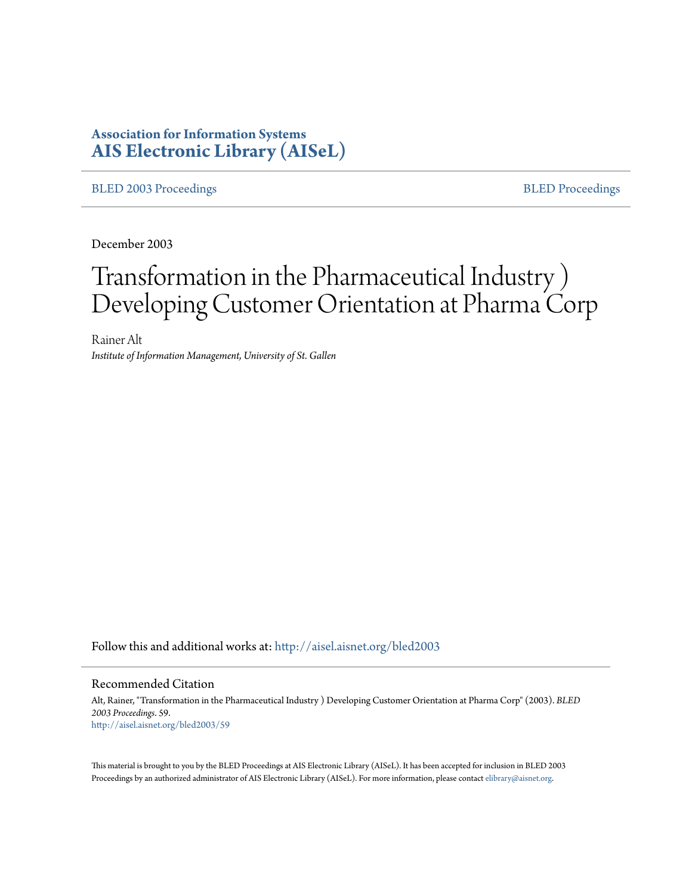# **Association for Information Systems [AIS Electronic Library \(AISeL\)](http://aisel.aisnet.org?utm_source=aisel.aisnet.org%2Fbled2003%2F59&utm_medium=PDF&utm_campaign=PDFCoverPages)**

[BLED 2003 Proceedings](http://aisel.aisnet.org/bled2003?utm_source=aisel.aisnet.org%2Fbled2003%2F59&utm_medium=PDF&utm_campaign=PDFCoverPages) **[BLED Proceedings](http://aisel.aisnet.org/bled?utm_source=aisel.aisnet.org%2Fbled2003%2F59&utm_medium=PDF&utm_campaign=PDFCoverPages)** 

December 2003

# Transformation in the Pharmaceutical Industry ) Developing Customer Orientation at Pharma Corp

Rainer Alt *Institute of Information Management, University of St. Gallen*

Follow this and additional works at: [http://aisel.aisnet.org/bled2003](http://aisel.aisnet.org/bled2003?utm_source=aisel.aisnet.org%2Fbled2003%2F59&utm_medium=PDF&utm_campaign=PDFCoverPages)

#### Recommended Citation

Alt, Rainer, "Transformation in the Pharmaceutical Industry ) Developing Customer Orientation at Pharma Corp" (2003). *BLED 2003 Proceedings*. 59. [http://aisel.aisnet.org/bled2003/59](http://aisel.aisnet.org/bled2003/59?utm_source=aisel.aisnet.org%2Fbled2003%2F59&utm_medium=PDF&utm_campaign=PDFCoverPages)

This material is brought to you by the BLED Proceedings at AIS Electronic Library (AISeL). It has been accepted for inclusion in BLED 2003 Proceedings by an authorized administrator of AIS Electronic Library (AISeL). For more information, please contact [elibrary@aisnet.org](mailto:elibrary@aisnet.org%3E).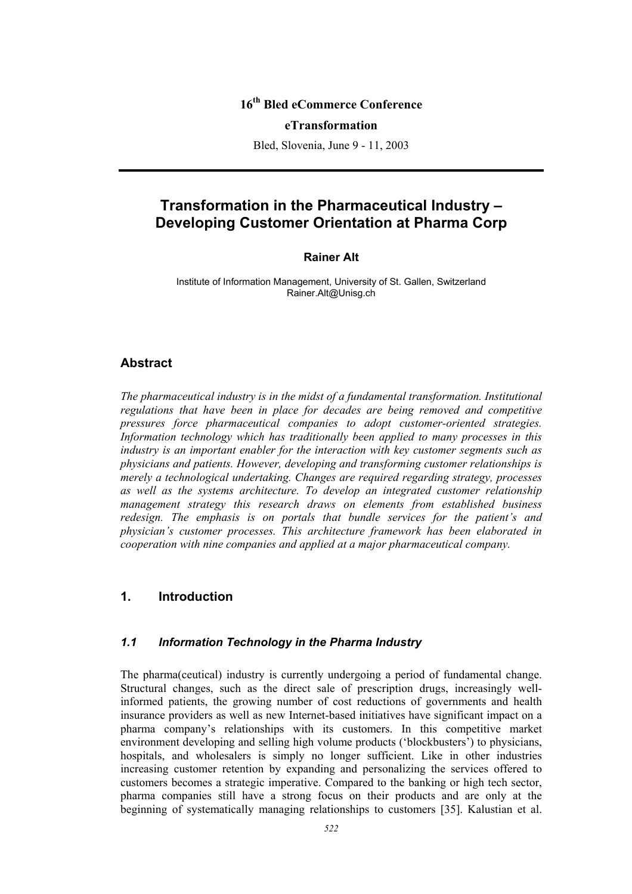## **16th Bled eCommerce Conference**

#### **eTransformation**

Bled, Slovenia, June 9 - 11, 2003

# **Transformation in the Pharmaceutical Industry – Developing Customer Orientation at Pharma Corp**

#### **Rainer Alt**

Institute of Information Management, University of St. Gallen, Switzerland Rainer.Alt@Unisg.ch

#### **Abstract**

*The pharmaceutical industry is in the midst of a fundamental transformation. Institutional regulations that have been in place for decades are being removed and competitive pressures force pharmaceutical companies to adopt customer-oriented strategies. Information technology which has traditionally been applied to many processes in this industry is an important enabler for the interaction with key customer segments such as physicians and patients. However, developing and transforming customer relationships is merely a technological undertaking. Changes are required regarding strategy, processes as well as the systems architecture. To develop an integrated customer relationship management strategy this research draws on elements from established business redesign. The emphasis is on portals that bundle services for the patient's and physician's customer processes. This architecture framework has been elaborated in cooperation with nine companies and applied at a major pharmaceutical company.* 

#### **1. Introduction**

#### *1.1 Information Technology in the Pharma Industry*

The pharma(ceutical) industry is currently undergoing a period of fundamental change. Structural changes, such as the direct sale of prescription drugs, increasingly wellinformed patients, the growing number of cost reductions of governments and health insurance providers as well as new Internet-based initiatives have significant impact on a pharma company's relationships with its customers. In this competitive market environment developing and selling high volume products ('blockbusters') to physicians, hospitals, and wholesalers is simply no longer sufficient. Like in other industries increasing customer retention by expanding and personalizing the services offered to customers becomes a strategic imperative. Compared to the banking or high tech sector, pharma companies still have a strong focus on their products and are only at the beginning of systematically managing relationships to customers [35]. Kalustian et al.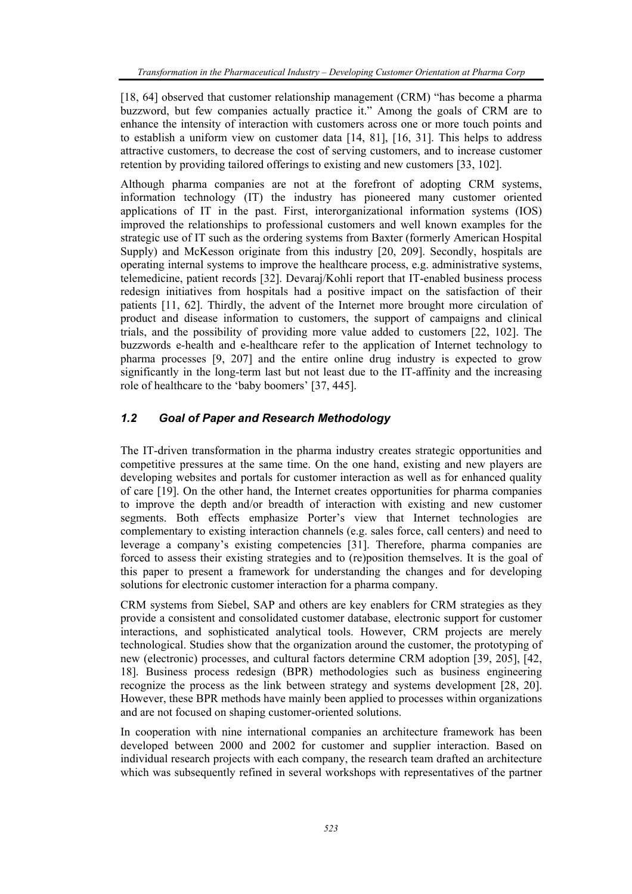[18, 64] observed that customer relationship management (CRM) "has become a pharma buzzword, but few companies actually practice it." Among the goals of CRM are to enhance the intensity of interaction with customers across one or more touch points and to establish a uniform view on customer data [14, 81], [16, 31]. This helps to address attractive customers, to decrease the cost of serving customers, and to increase customer retention by providing tailored offerings to existing and new customers [33, 102].

Although pharma companies are not at the forefront of adopting CRM systems, information technology (IT) the industry has pioneered many customer oriented applications of IT in the past. First, interorganizational information systems (IOS) improved the relationships to professional customers and well known examples for the strategic use of IT such as the ordering systems from Baxter (formerly American Hospital Supply) and McKesson originate from this industry [20, 209]. Secondly, hospitals are operating internal systems to improve the healthcare process, e.g. administrative systems, telemedicine, patient records [32]. Devaraj/Kohli report that IT-enabled business process redesign initiatives from hospitals had a positive impact on the satisfaction of their patients [11, 62]. Thirdly, the advent of the Internet more brought more circulation of product and disease information to customers, the support of campaigns and clinical trials, and the possibility of providing more value added to customers [22, 102]. The buzzwords e-health and e-healthcare refer to the application of Internet technology to pharma processes [9, 207] and the entire online drug industry is expected to grow significantly in the long-term last but not least due to the IT-affinity and the increasing role of healthcare to the 'baby boomers' [37, 445].

## *1.2 Goal of Paper and Research Methodology*

The IT-driven transformation in the pharma industry creates strategic opportunities and competitive pressures at the same time. On the one hand, existing and new players are developing websites and portals for customer interaction as well as for enhanced quality of care [19]. On the other hand, the Internet creates opportunities for pharma companies to improve the depth and/or breadth of interaction with existing and new customer segments. Both effects emphasize Porter's view that Internet technologies are complementary to existing interaction channels (e.g. sales force, call centers) and need to leverage a company's existing competencies [31]. Therefore, pharma companies are forced to assess their existing strategies and to (re)position themselves. It is the goal of this paper to present a framework for understanding the changes and for developing solutions for electronic customer interaction for a pharma company.

CRM systems from Siebel, SAP and others are key enablers for CRM strategies as they provide a consistent and consolidated customer database, electronic support for customer interactions, and sophisticated analytical tools. However, CRM projects are merely technological. Studies show that the organization around the customer, the prototyping of new (electronic) processes, and cultural factors determine CRM adoption [39, 205], [42, 18]. Business process redesign (BPR) methodologies such as business engineering recognize the process as the link between strategy and systems development [28, 20]. However, these BPR methods have mainly been applied to processes within organizations and are not focused on shaping customer-oriented solutions.

In cooperation with nine international companies an architecture framework has been developed between 2000 and 2002 for customer and supplier interaction. Based on individual research projects with each company, the research team drafted an architecture which was subsequently refined in several workshops with representatives of the partner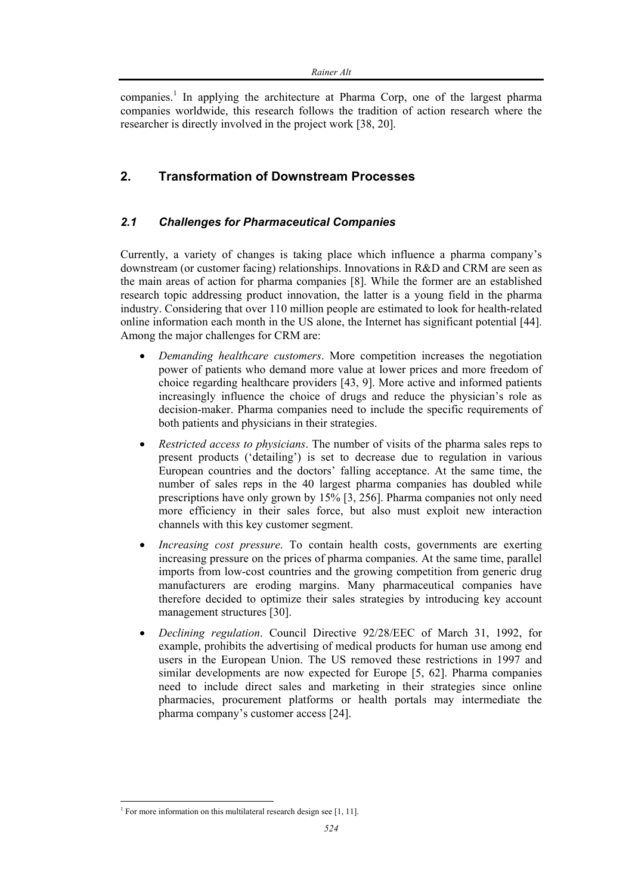companies.<sup>1</sup> In applying the architecture at Pharma Corp, one of the largest pharma companies worldwide, this research follows the tradition of action research where the researcher is directly involved in the project work [38, 20].

## **2. Transformation of Downstream Processes**

## *2.1 Challenges for Pharmaceutical Companies*

Currently, a variety of changes is taking place which influence a pharma company's downstream (or customer facing) relationships. Innovations in R&D and CRM are seen as the main areas of action for pharma companies [8]. While the former are an established research topic addressing product innovation, the latter is a young field in the pharma industry. Considering that over 110 million people are estimated to look for health-related online information each month in the US alone, the Internet has significant potential [44]. Among the major challenges for CRM are:

- *Demanding healthcare customers*. More competition increases the negotiation power of patients who demand more value at lower prices and more freedom of choice regarding healthcare providers [43, 9]. More active and informed patients increasingly influence the choice of drugs and reduce the physician's role as decision-maker. Pharma companies need to include the specific requirements of both patients and physicians in their strategies.
- *Restricted access to physicians*. The number of visits of the pharma sales reps to present products ('detailing') is set to decrease due to regulation in various European countries and the doctors' falling acceptance. At the same time, the number of sales reps in the 40 largest pharma companies has doubled while prescriptions have only grown by 15% [3, 256]. Pharma companies not only need more efficiency in their sales force, but also must exploit new interaction channels with this key customer segment.
- *Increasing cost pressure*. To contain health costs, governments are exerting increasing pressure on the prices of pharma companies. At the same time, parallel imports from low-cost countries and the growing competition from generic drug manufacturers are eroding margins. Many pharmaceutical companies have therefore decided to optimize their sales strategies by introducing key account management structures [30].
- *Declining regulation*. Council Directive 92/28/EEC of March 31, 1992, for example, prohibits the advertising of medical products for human use among end users in the European Union. The US removed these restrictions in 1997 and similar developments are now expected for Europe [5, 62]. Pharma companies need to include direct sales and marketing in their strategies since online pharmacies, procurement platforms or health portals may intermediate the pharma company's customer access [24].

l <sup>1</sup> For more information on this multilateral research design see  $[1, 11]$ .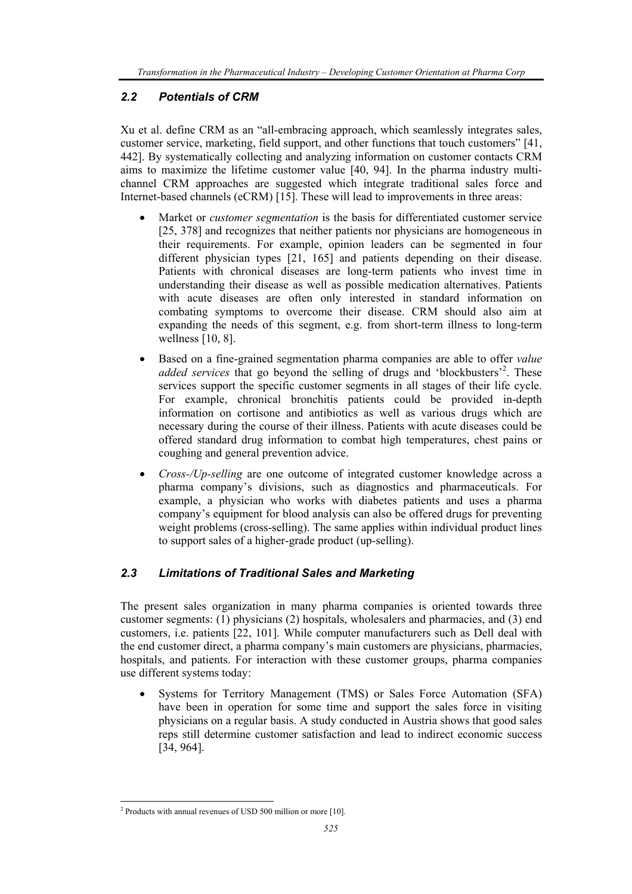## *2.2 Potentials of CRM*

Xu et al. define CRM as an "all-embracing approach, which seamlessly integrates sales, customer service, marketing, field support, and other functions that touch customers" [41, 442]. By systematically collecting and analyzing information on customer contacts CRM aims to maximize the lifetime customer value [40, 94]. In the pharma industry multichannel CRM approaches are suggested which integrate traditional sales force and Internet-based channels (eCRM) [15]. These will lead to improvements in three areas:

- Market or *customer segmentation* is the basis for differentiated customer service [25, 378] and recognizes that neither patients nor physicians are homogeneous in their requirements. For example, opinion leaders can be segmented in four different physician types [21, 165] and patients depending on their disease. Patients with chronical diseases are long-term patients who invest time in understanding their disease as well as possible medication alternatives. Patients with acute diseases are often only interested in standard information on combating symptoms to overcome their disease. CRM should also aim at expanding the needs of this segment, e.g. from short-term illness to long-term wellness [10, 8].
- Based on a fine-grained segmentation pharma companies are able to offer *value*  added services that go beyond the selling of drugs and 'blockbusters'<sup>2</sup>. These services support the specific customer segments in all stages of their life cycle. For example, chronical bronchitis patients could be provided in-depth information on cortisone and antibiotics as well as various drugs which are necessary during the course of their illness. Patients with acute diseases could be offered standard drug information to combat high temperatures, chest pains or coughing and general prevention advice.
- *Cross-/Up-selling* are one outcome of integrated customer knowledge across a pharma company's divisions, such as diagnostics and pharmaceuticals. For example, a physician who works with diabetes patients and uses a pharma company's equipment for blood analysis can also be offered drugs for preventing weight problems (cross-selling). The same applies within individual product lines to support sales of a higher-grade product (up-selling).

## *2.3 Limitations of Traditional Sales and Marketing*

The present sales organization in many pharma companies is oriented towards three customer segments: (1) physicians (2) hospitals, wholesalers and pharmacies, and (3) end customers, i.e. patients [22, 101]. While computer manufacturers such as Dell deal with the end customer direct, a pharma company's main customers are physicians, pharmacies, hospitals, and patients. For interaction with these customer groups, pharma companies use different systems today:

• Systems for Territory Management (TMS) or Sales Force Automation (SFA) have been in operation for some time and support the sales force in visiting physicians on a regular basis. A study conducted in Austria shows that good sales reps still determine customer satisfaction and lead to indirect economic success [34, 964].

l <sup>2</sup> Products with annual revenues of USD 500 million or more [10].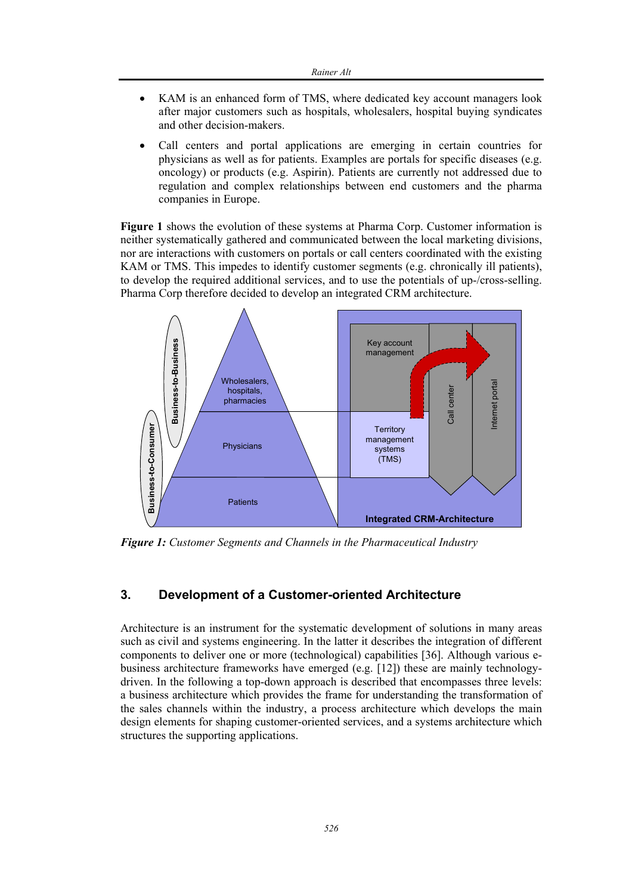- KAM is an enhanced form of TMS, where dedicated key account managers look after major customers such as hospitals, wholesalers, hospital buying syndicates and other decision-makers.
- Call centers and portal applications are emerging in certain countries for physicians as well as for patients. Examples are portals for specific diseases (e.g. oncology) or products (e.g. Aspirin). Patients are currently not addressed due to regulation and complex relationships between end customers and the pharma companies in Europe.

**Figure 1** shows the evolution of these systems at Pharma Corp. Customer information is neither systematically gathered and communicated between the local marketing divisions, nor are interactions with customers on portals or call centers coordinated with the existing KAM or TMS. This impedes to identify customer segments (e.g. chronically ill patients), to develop the required additional services, and to use the potentials of up-/cross-selling. Pharma Corp therefore decided to develop an integrated CRM architecture.



*Figure 1: Customer Segments and Channels in the Pharmaceutical Industry* 

## **3. Development of a Customer-oriented Architecture**

Architecture is an instrument for the systematic development of solutions in many areas such as civil and systems engineering. In the latter it describes the integration of different components to deliver one or more (technological) capabilities [36]. Although various ebusiness architecture frameworks have emerged (e.g.  $[12]$ ) these are mainly technologydriven. In the following a top-down approach is described that encompasses three levels: a business architecture which provides the frame for understanding the transformation of the sales channels within the industry, a process architecture which develops the main design elements for shaping customer-oriented services, and a systems architecture which structures the supporting applications.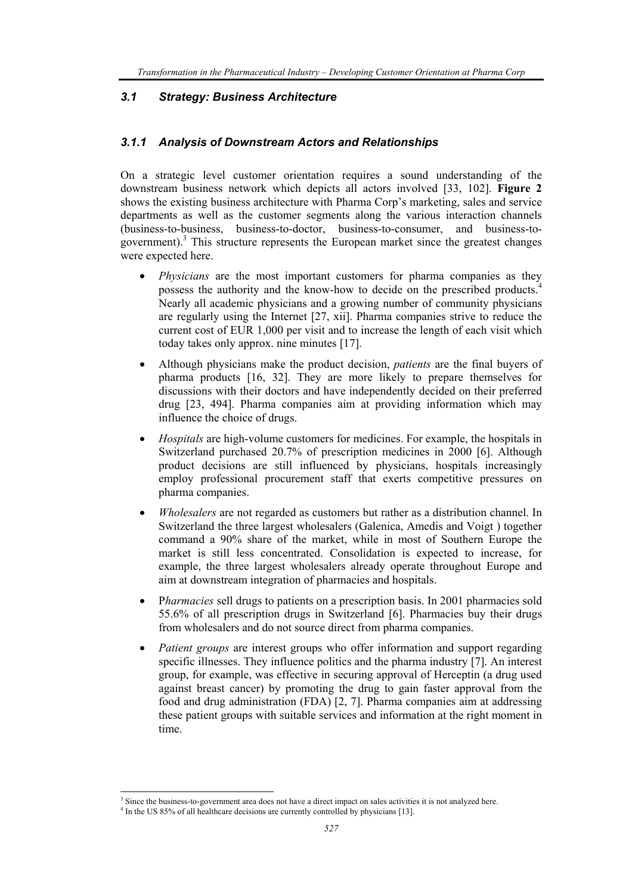#### *3.1 Strategy: Business Architecture*

#### *3.1.1 Analysis of Downstream Actors and Relationships*

On a strategic level customer orientation requires a sound understanding of the downstream business network which depicts all actors involved [33, 102]. **Figure 2** shows the existing business architecture with Pharma Corp's marketing, sales and service departments as well as the customer segments along the various interaction channels (business-to-business, business-to-doctor, business-to-consumer, and business-togovernment).<sup>3</sup> This structure represents the European market since the greatest changes were expected here.

- *Physicians* are the most important customers for pharma companies as they possess the authority and the know-how to decide on the prescribed products.<sup>4</sup> Nearly all academic physicians and a growing number of community physicians are regularly using the Internet [27, xii]. Pharma companies strive to reduce the current cost of EUR 1,000 per visit and to increase the length of each visit which today takes only approx. nine minutes [17].
- Although physicians make the product decision, *patients* are the final buyers of pharma products [16, 32]. They are more likely to prepare themselves for discussions with their doctors and have independently decided on their preferred drug [23, 494]. Pharma companies aim at providing information which may influence the choice of drugs.
- *Hospitals* are high-volume customers for medicines. For example, the hospitals in Switzerland purchased 20.7% of prescription medicines in 2000 [6]. Although product decisions are still influenced by physicians, hospitals increasingly employ professional procurement staff that exerts competitive pressures on pharma companies.
- *Wholesalers* are not regarded as customers but rather as a distribution channel. In Switzerland the three largest wholesalers (Galenica, Amedis and Voigt ) together command a 90% share of the market, while in most of Southern Europe the market is still less concentrated. Consolidation is expected to increase, for example, the three largest wholesalers already operate throughout Europe and aim at downstream integration of pharmacies and hospitals.
- P*harmacies* sell drugs to patients on a prescription basis. In 2001 pharmacies sold 55.6% of all prescription drugs in Switzerland [6]. Pharmacies buy their drugs from wholesalers and do not source direct from pharma companies.
- *Patient groups* are interest groups who offer information and support regarding specific illnesses. They influence politics and the pharma industry [7]. An interest group, for example, was effective in securing approval of Herceptin (a drug used against breast cancer) by promoting the drug to gain faster approval from the food and drug administration (FDA) [2, 7]. Pharma companies aim at addressing these patient groups with suitable services and information at the right moment in time.

 $\overline{a}$ 

<sup>&</sup>lt;sup>3</sup> Since the business-to-government area does not have a direct impact on sales activities it is not analyzed here.<br><sup>4</sup> In the US 85% of all healthcare docisions are aurrently controlled by physicians [12].

<sup>&</sup>lt;sup>4</sup> In the US 85% of all healthcare decisions are currently controlled by physicians [13].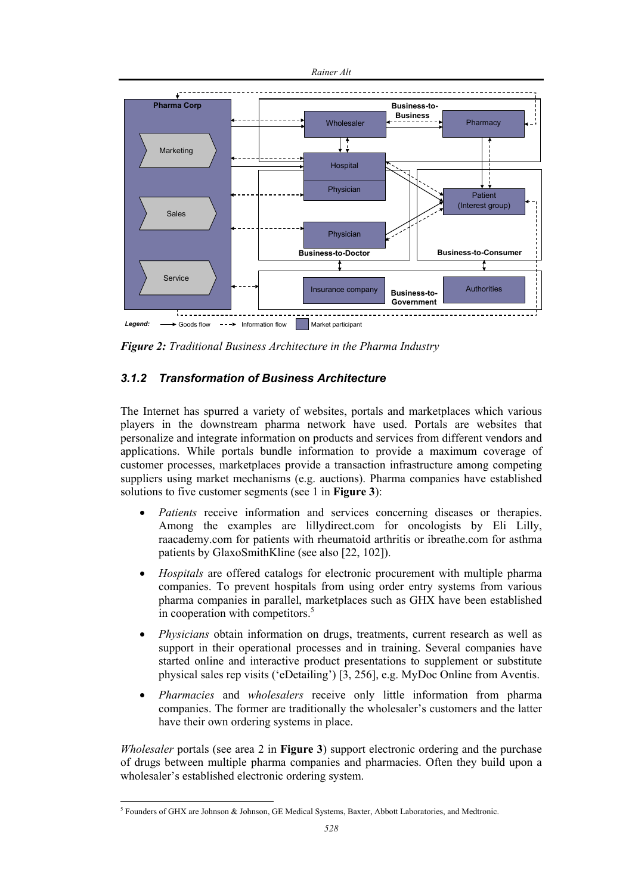

*Figure 2: Traditional Business Architecture in the Pharma Industry* 

## *3.1.2 Transformation of Business Architecture*

The Internet has spurred a variety of websites, portals and marketplaces which various players in the downstream pharma network have used. Portals are websites that personalize and integrate information on products and services from different vendors and applications. While portals bundle information to provide a maximum coverage of customer processes, marketplaces provide a transaction infrastructure among competing suppliers using market mechanisms (e.g. auctions). Pharma companies have established solutions to five customer segments (see 1 in **Figure 3**):

- *Patients* receive information and services concerning diseases or therapies. Among the examples are lillydirect.com for oncologists by Eli Lilly, raacademy.com for patients with rheumatoid arthritis or ibreathe.com for asthma patients by GlaxoSmithKline (see also [22, 102]).
- *Hospitals* are offered catalogs for electronic procurement with multiple pharma companies. To prevent hospitals from using order entry systems from various pharma companies in parallel, marketplaces such as GHX have been established in cooperation with competitors.<sup>5</sup>
- *Physicians* obtain information on drugs, treatments, current research as well as support in their operational processes and in training. Several companies have started online and interactive product presentations to supplement or substitute physical sales rep visits ('eDetailing') [3, 256], e.g. MyDoc Online from Aventis.
- *Pharmacies* and *wholesalers* receive only little information from pharma companies. The former are traditionally the wholesaler's customers and the latter have their own ordering systems in place.

*Wholesaler* portals (see area 2 in **Figure 3**) support electronic ordering and the purchase of drugs between multiple pharma companies and pharmacies. Often they build upon a wholesaler's established electronic ordering system.

l <sup>5</sup> Founders of GHX are Johnson & Johnson, GE Medical Systems, Baxter, Abbott Laboratories, and Medtronic.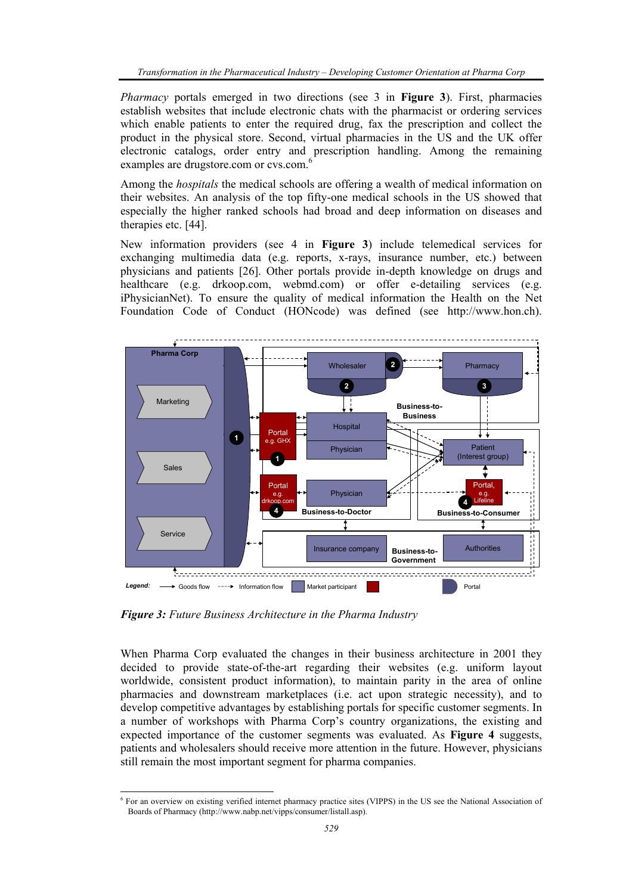*Pharmacy* portals emerged in two directions (see 3 in **Figure 3**). First, pharmacies establish websites that include electronic chats with the pharmacist or ordering services which enable patients to enter the required drug, fax the prescription and collect the product in the physical store. Second, virtual pharmacies in the US and the UK offer electronic catalogs, order entry and prescription handling. Among the remaining examples are drugstore.com or cvs.com.<sup>6</sup>

Among the *hospitals* the medical schools are offering a wealth of medical information on their websites. An analysis of the top fifty-one medical schools in the US showed that especially the higher ranked schools had broad and deep information on diseases and therapies etc. [44].

New information providers (see 4 in **Figure 3**) include telemedical services for exchanging multimedia data (e.g. reports, x-rays, insurance number, etc.) between physicians and patients [26]. Other portals provide in-depth knowledge on drugs and healthcare (e.g. drkoop.com, webmd.com) or offer e-detailing services (e.g. iPhysicianNet). To ensure the quality of medical information the Health on the Net Foundation Code of Conduct (HONcode) was defined (see http://www.hon.ch).



*Figure 3: Future Business Architecture in the Pharma Industry* 

 $\overline{a}$ 

When Pharma Corp evaluated the changes in their business architecture in 2001 they decided to provide state-of-the-art regarding their websites (e.g. uniform layout worldwide, consistent product information), to maintain parity in the area of online pharmacies and downstream marketplaces (i.e. act upon strategic necessity), and to develop competitive advantages by establishing portals for specific customer segments. In a number of workshops with Pharma Corp's country organizations, the existing and expected importance of the customer segments was evaluated. As **Figure 4** suggests, patients and wholesalers should receive more attention in the future. However, physicians still remain the most important segment for pharma companies.

<sup>&</sup>lt;sup>6</sup> For an overview on existing verified internet pharmacy practice sites (VIPPS) in the US see the National Association of Boards of Pharmacy (http://www.nabp.net/vipps/consumer/listall.asp).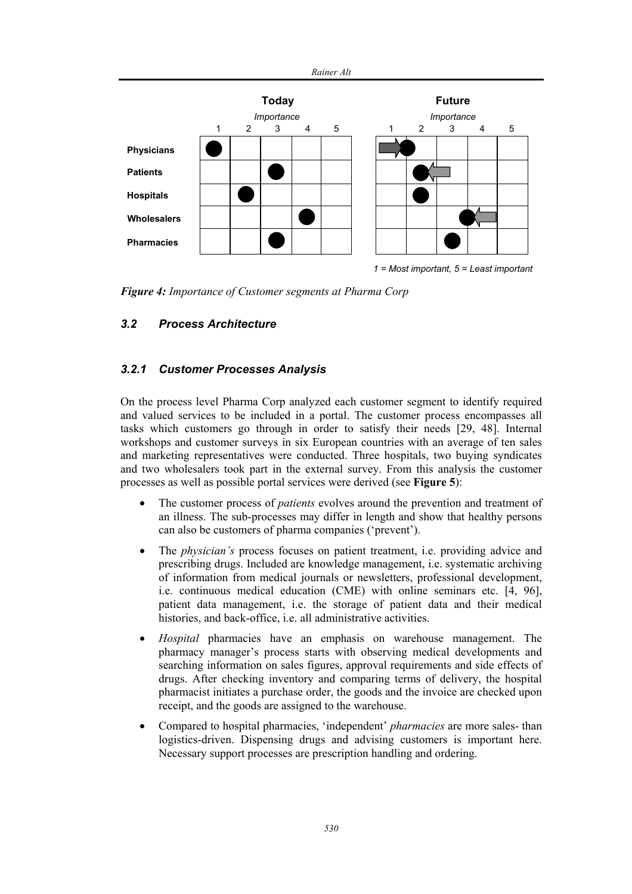

*1 = Most important, 5 = Least important*

*Figure 4: Importance of Customer segments at Pharma Corp* 

## *3.2 Process Architecture*

## *3.2.1 Customer Processes Analysis*

On the process level Pharma Corp analyzed each customer segment to identify required and valued services to be included in a portal. The customer process encompasses all tasks which customers go through in order to satisfy their needs [29, 48]. Internal workshops and customer surveys in six European countries with an average of ten sales and marketing representatives were conducted. Three hospitals, two buying syndicates and two wholesalers took part in the external survey. From this analysis the customer processes as well as possible portal services were derived (see **Figure 5**):

- The customer process of *patients* evolves around the prevention and treatment of an illness. The sub-processes may differ in length and show that healthy persons can also be customers of pharma companies ('prevent').
- The *physician's* process focuses on patient treatment, i.e. providing advice and prescribing drugs. Included are knowledge management, i.e. systematic archiving of information from medical journals or newsletters, professional development, i.e. continuous medical education (CME) with online seminars etc. [4, 96], patient data management, i.e. the storage of patient data and their medical histories, and back-office, i.e. all administrative activities.
- *Hospital* pharmacies have an emphasis on warehouse management. The pharmacy manager's process starts with observing medical developments and searching information on sales figures, approval requirements and side effects of drugs. After checking inventory and comparing terms of delivery, the hospital pharmacist initiates a purchase order, the goods and the invoice are checked upon receipt, and the goods are assigned to the warehouse.
- Compared to hospital pharmacies, 'independent' *pharmacies* are more sales- than logistics-driven. Dispensing drugs and advising customers is important here. Necessary support processes are prescription handling and ordering.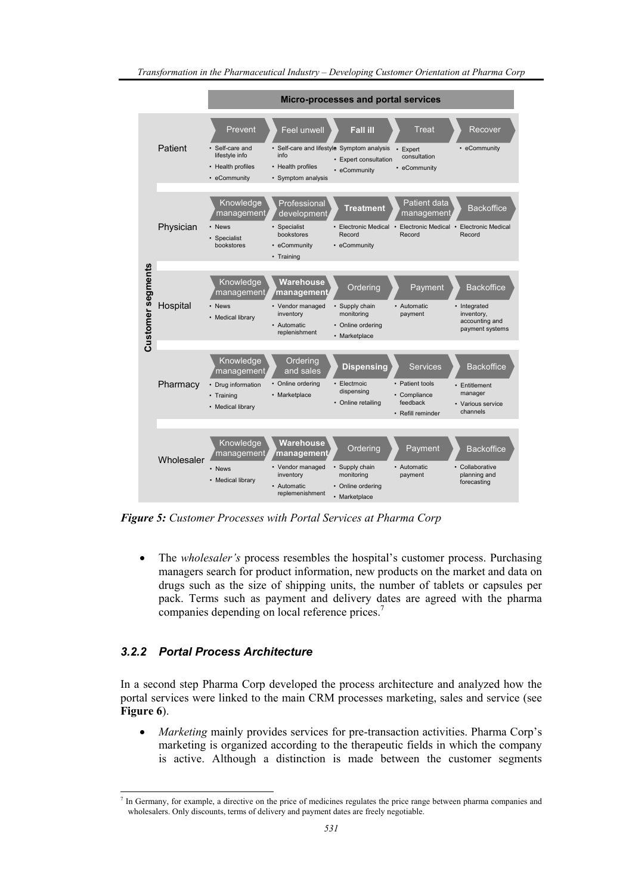

*Figure 5: Customer Processes with Portal Services at Pharma Corp* 

The *wholesaler's* process resembles the hospital's customer process. Purchasing managers search for product information, new products on the market and data on drugs such as the size of shipping units, the number of tablets or capsules per pack. Terms such as payment and delivery dates are agreed with the pharma companies depending on local reference prices.7

#### *3.2.2 Portal Process Architecture*

 $\overline{a}$ 

In a second step Pharma Corp developed the process architecture and analyzed how the portal services were linked to the main CRM processes marketing, sales and service (see **Figure 6**).

• *Marketing* mainly provides services for pre-transaction activities. Pharma Corp's marketing is organized according to the therapeutic fields in which the company is active. Although a distinction is made between the customer segments

<sup>&</sup>lt;sup>7</sup> In Germany, for example, a directive on the price of medicines regulates the price range between pharma companies and wholesalers. Only discounts, terms of delivery and payment dates are freely negotiable.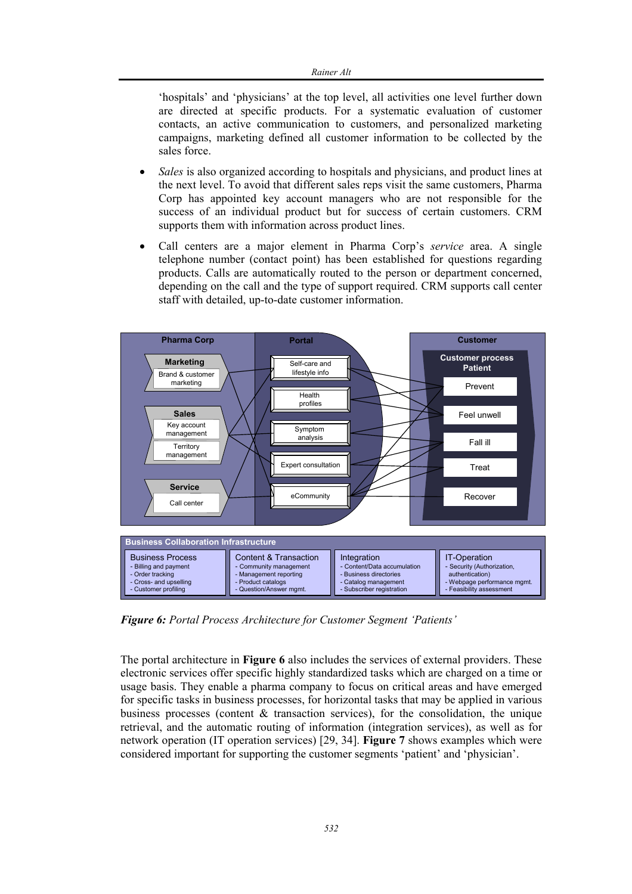'hospitals' and 'physicians' at the top level, all activities one level further down are directed at specific products. For a systematic evaluation of customer contacts, an active communication to customers, and personalized marketing campaigns, marketing defined all customer information to be collected by the sales force.

- *Sales* is also organized according to hospitals and physicians, and product lines at the next level. To avoid that different sales reps visit the same customers, Pharma Corp has appointed key account managers who are not responsible for the success of an individual product but for success of certain customers. CRM supports them with information across product lines.
- Call centers are a major element in Pharma Corp's *service* area. A single telephone number (contact point) has been established for questions regarding products. Calls are automatically routed to the person or department concerned, depending on the call and the type of support required. CRM supports call center staff with detailed, up-to-date customer information.



*Figure 6: Portal Process Architecture for Customer Segment 'Patients'* 

The portal architecture in **Figure 6** also includes the services of external providers. These electronic services offer specific highly standardized tasks which are charged on a time or usage basis. They enable a pharma company to focus on critical areas and have emerged for specific tasks in business processes, for horizontal tasks that may be applied in various business processes (content  $\&$  transaction services), for the consolidation, the unique retrieval, and the automatic routing of information (integration services), as well as for network operation (IT operation services) [29, 34]. **Figure 7** shows examples which were considered important for supporting the customer segments 'patient' and 'physician'.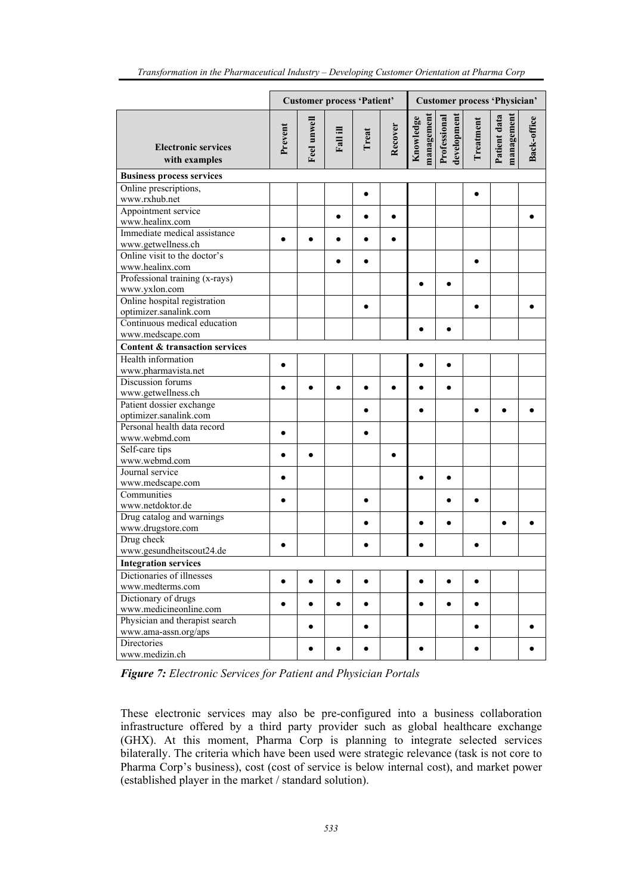|                                                        | <b>Customer process 'Patient'</b> |             |           |           |           | <b>Customer process 'Physician'</b> |                                           |           |                            |             |
|--------------------------------------------------------|-----------------------------------|-------------|-----------|-----------|-----------|-------------------------------------|-------------------------------------------|-----------|----------------------------|-------------|
| <b>Electronic services</b><br>with examples            | Prevent                           | Feel unwell | Fall ill  | Treat     | Recover   | Knowledge                           | development<br>management<br>Professional | Treatment | management<br>Patient data | Back-office |
| <b>Business process services</b>                       |                                   |             |           |           |           |                                     |                                           |           |                            |             |
| Online prescriptions,                                  |                                   |             |           |           |           |                                     |                                           |           |                            |             |
| www.rxhub.net                                          |                                   |             |           | $\bullet$ |           |                                     |                                           | $\bullet$ |                            |             |
| Appointment service                                    |                                   |             |           |           |           |                                     |                                           |           |                            |             |
| www.healinx.com                                        |                                   |             | 8         |           | 8         |                                     |                                           |           |                            |             |
| Immediate medical assistance                           | $\bullet$                         |             |           |           |           |                                     |                                           |           |                            |             |
| www.getwellness.ch                                     |                                   |             |           | $\bullet$ | $\bullet$ |                                     |                                           |           |                            |             |
| Online visit to the doctor's                           |                                   |             | $\bullet$ | $\bullet$ |           |                                     |                                           | $\bullet$ |                            |             |
| www.healinx.com                                        |                                   |             |           |           |           |                                     |                                           |           |                            |             |
| Professional training (x-rays)                         |                                   |             |           |           |           |                                     |                                           |           |                            |             |
| www.yxlon.com                                          |                                   |             |           |           |           |                                     |                                           |           |                            |             |
| Online hospital registration                           |                                   |             |           |           |           |                                     |                                           |           |                            |             |
| optimizer.sanalink.com                                 |                                   |             |           |           |           |                                     |                                           |           |                            |             |
| Continuous medical education                           |                                   |             |           |           |           |                                     |                                           |           |                            |             |
| www.medscape.com                                       |                                   |             |           |           |           |                                     |                                           |           |                            |             |
| Content & transaction services                         |                                   |             |           |           |           |                                     |                                           |           |                            |             |
| Health information                                     | $\bullet$                         |             |           |           |           |                                     |                                           |           |                            |             |
| www.pharmavista.net                                    |                                   |             |           |           |           |                                     |                                           |           |                            |             |
| Discussion forums                                      | $\bullet$                         |             |           |           |           |                                     |                                           |           |                            |             |
| www.getwellness.ch                                     |                                   |             |           |           |           |                                     |                                           |           |                            |             |
| Patient dossier exchange                               |                                   |             |           |           |           |                                     |                                           |           |                            |             |
| optimizer.sanalink.com                                 |                                   |             |           |           |           |                                     |                                           |           |                            |             |
| Personal health data record                            | $\bullet$                         |             |           | $\bullet$ |           |                                     |                                           |           |                            |             |
| www.webmd.com                                          |                                   |             |           |           |           |                                     |                                           |           |                            |             |
| Self-care tips                                         | $\bullet$                         |             |           |           |           |                                     |                                           |           |                            |             |
| www.webmd.com                                          |                                   |             |           |           |           |                                     |                                           |           |                            |             |
| Journal service                                        | $\bullet$                         |             |           |           |           | 8                                   | $\bullet$                                 |           |                            |             |
| www.medscape.com                                       |                                   |             |           |           |           |                                     |                                           |           |                            |             |
| Communities                                            | $\bullet$                         |             |           |           |           |                                     |                                           | $\bullet$ |                            |             |
| www.netdoktor.de                                       |                                   |             |           |           |           |                                     |                                           |           |                            |             |
| Drug catalog and warnings                              |                                   |             |           |           |           |                                     |                                           |           |                            |             |
| www.drugstore.com                                      |                                   |             |           |           |           |                                     |                                           |           |                            |             |
| Drug check                                             |                                   |             |           |           |           |                                     |                                           |           |                            |             |
| www.gesundheitscout24.de                               |                                   |             |           |           |           |                                     |                                           |           |                            |             |
| <b>Integration services</b>                            |                                   |             |           |           |           |                                     |                                           |           |                            |             |
| Dictionaries of illnesses                              | $\bullet$                         |             |           |           |           |                                     |                                           | ٠         |                            |             |
| www.medterms.com                                       |                                   |             |           |           |           |                                     |                                           |           |                            |             |
| Dictionary of drugs<br>www.medicineonline.com          | $\bullet$                         | $\bullet$   |           | $\bullet$ |           |                                     | $\bullet$                                 |           |                            |             |
|                                                        |                                   |             |           |           |           |                                     |                                           |           |                            |             |
| Physician and therapist search<br>www.ama-assn.org/aps |                                   | $\bullet$   |           |           |           |                                     |                                           |           |                            |             |
| Directories                                            |                                   |             |           |           |           |                                     |                                           |           |                            |             |
| www.medizin.ch                                         |                                   | ٠           | $\bullet$ | $\bullet$ |           |                                     |                                           | ٠         |                            | $\bullet$   |

*Figure 7: Electronic Services for Patient and Physician Portals* 

These electronic services may also be pre-configured into a business collaboration infrastructure offered by a third party provider such as global healthcare exchange (GHX). At this moment, Pharma Corp is planning to integrate selected services bilaterally. The criteria which have been used were strategic relevance (task is not core to Pharma Corp's business), cost (cost of service is below internal cost), and market power (established player in the market / standard solution).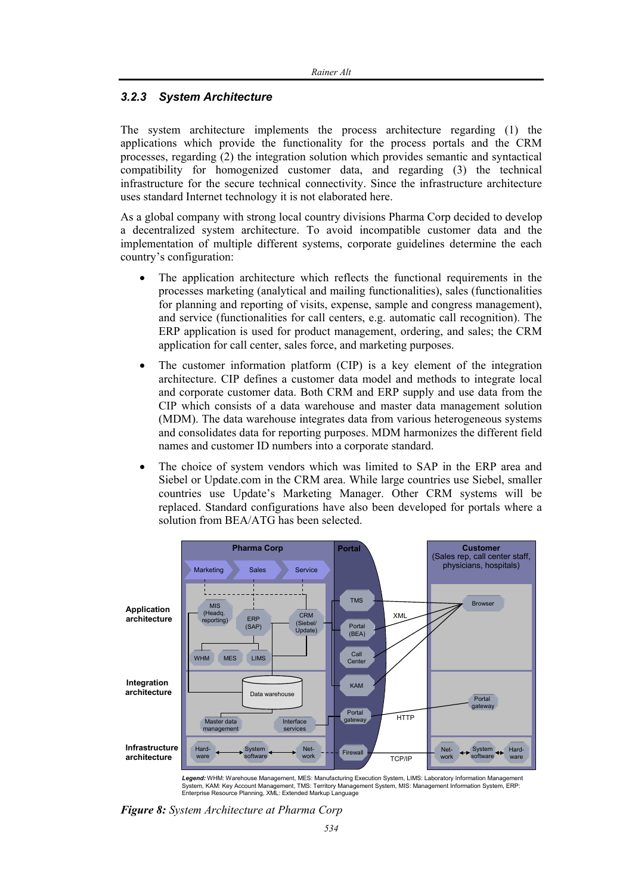## *3.2.3 System Architecture*

The system architecture implements the process architecture regarding (1) the applications which provide the functionality for the process portals and the CRM processes, regarding (2) the integration solution which provides semantic and syntactical compatibility for homogenized customer data, and regarding (3) the technical infrastructure for the secure technical connectivity. Since the infrastructure architecture uses standard Internet technology it is not elaborated here.

As a global company with strong local country divisions Pharma Corp decided to develop a decentralized system architecture. To avoid incompatible customer data and the implementation of multiple different systems, corporate guidelines determine the each country's configuration:

- The application architecture which reflects the functional requirements in the processes marketing (analytical and mailing functionalities), sales (functionalities for planning and reporting of visits, expense, sample and congress management), and service (functionalities for call centers, e.g. automatic call recognition). The ERP application is used for product management, ordering, and sales; the CRM application for call center, sales force, and marketing purposes.
- The customer information platform (CIP) is a key element of the integration architecture. CIP defines a customer data model and methods to integrate local and corporate customer data. Both CRM and ERP supply and use data from the CIP which consists of a data warehouse and master data management solution (MDM). The data warehouse integrates data from various heterogeneous systems and consolidates data for reporting purposes. MDM harmonizes the different field names and customer ID numbers into a corporate standard.
- The choice of system vendors which was limited to SAP in the ERP area and Siebel or Update.com in the CRM area. While large countries use Siebel, smaller countries use Update's Marketing Manager. Other CRM systems will be replaced. Standard configurations have also been developed for portals where a solution from BEA/ATG has been selected.



Legend: WHM: Warehouse Management, MES: Manufacturing Execution System, LIMS: Laboratory Information Management<br>System, KAM: Key Account Management, TMS: Territory Management System, MIS: Management Information System, ERP System, KAM: Key Account Management, TMS: Territory Management System, MIS: Management Information System, ERP:<br>Enterprise Resource Planning, XML: Extended Markup Language

*Figure 8: System Architecture at Pharma Corp*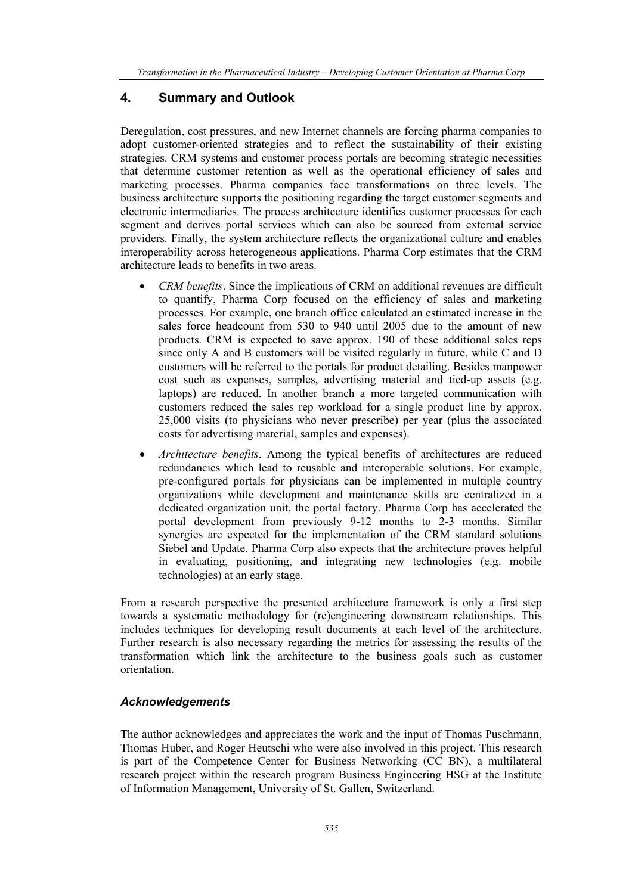#### **4. Summary and Outlook**

Deregulation, cost pressures, and new Internet channels are forcing pharma companies to adopt customer-oriented strategies and to reflect the sustainability of their existing strategies. CRM systems and customer process portals are becoming strategic necessities that determine customer retention as well as the operational efficiency of sales and marketing processes. Pharma companies face transformations on three levels. The business architecture supports the positioning regarding the target customer segments and electronic intermediaries. The process architecture identifies customer processes for each segment and derives portal services which can also be sourced from external service providers. Finally, the system architecture reflects the organizational culture and enables interoperability across heterogeneous applications. Pharma Corp estimates that the CRM architecture leads to benefits in two areas.

- *CRM benefits*. Since the implications of CRM on additional revenues are difficult to quantify, Pharma Corp focused on the efficiency of sales and marketing processes. For example, one branch office calculated an estimated increase in the sales force headcount from 530 to 940 until 2005 due to the amount of new products. CRM is expected to save approx. 190 of these additional sales reps since only A and B customers will be visited regularly in future, while C and D customers will be referred to the portals for product detailing. Besides manpower cost such as expenses, samples, advertising material and tied-up assets (e.g. laptops) are reduced. In another branch a more targeted communication with customers reduced the sales rep workload for a single product line by approx. 25,000 visits (to physicians who never prescribe) per year (plus the associated costs for advertising material, samples and expenses).
- *Architecture benefits*. Among the typical benefits of architectures are reduced redundancies which lead to reusable and interoperable solutions. For example, pre-configured portals for physicians can be implemented in multiple country organizations while development and maintenance skills are centralized in a dedicated organization unit, the portal factory. Pharma Corp has accelerated the portal development from previously 9-12 months to 2-3 months. Similar synergies are expected for the implementation of the CRM standard solutions Siebel and Update. Pharma Corp also expects that the architecture proves helpful in evaluating, positioning, and integrating new technologies (e.g. mobile technologies) at an early stage.

From a research perspective the presented architecture framework is only a first step towards a systematic methodology for (re)engineering downstream relationships. This includes techniques for developing result documents at each level of the architecture. Further research is also necessary regarding the metrics for assessing the results of the transformation which link the architecture to the business goals such as customer orientation.

#### *Acknowledgements*

The author acknowledges and appreciates the work and the input of Thomas Puschmann, Thomas Huber, and Roger Heutschi who were also involved in this project. This research is part of the Competence Center for Business Networking (CC BN), a multilateral research project within the research program Business Engineering HSG at the Institute of Information Management, University of St. Gallen, Switzerland.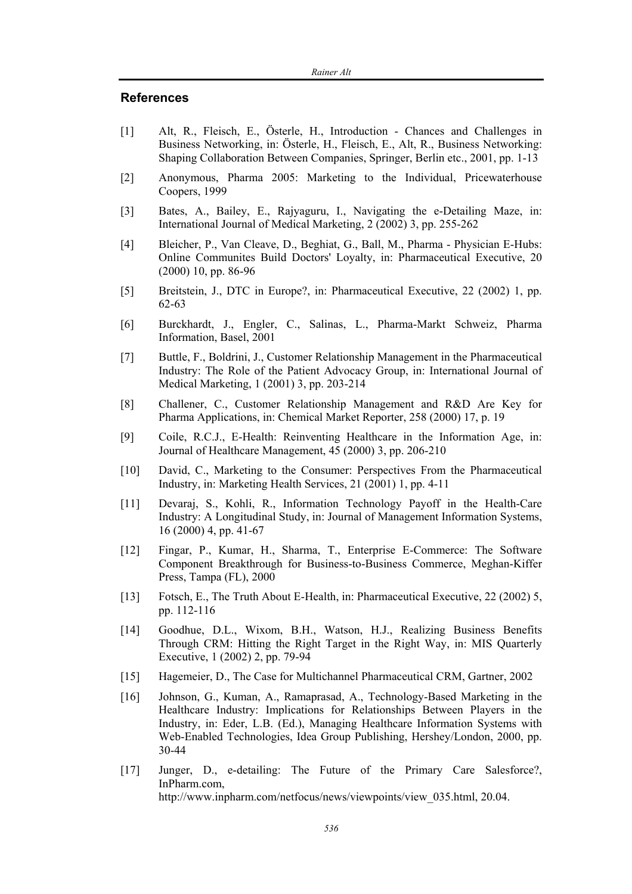#### **References**

- [1] Alt, R., Fleisch, E., Österle, H., Introduction Chances and Challenges in Business Networking, in: Österle, H., Fleisch, E., Alt, R., Business Networking: Shaping Collaboration Between Companies, Springer, Berlin etc., 2001, pp. 1-13
- [2] Anonymous, Pharma 2005: Marketing to the Individual, Pricewaterhouse Coopers, 1999
- [3] Bates, A., Bailey, E., Rajyaguru, I., Navigating the e-Detailing Maze, in: International Journal of Medical Marketing, 2 (2002) 3, pp. 255-262
- [4] Bleicher, P., Van Cleave, D., Beghiat, G., Ball, M., Pharma Physician E-Hubs: Online Communites Build Doctors' Loyalty, in: Pharmaceutical Executive, 20 (2000) 10, pp. 86-96
- [5] Breitstein, J., DTC in Europe?, in: Pharmaceutical Executive, 22 (2002) 1, pp. 62-63
- [6] Burckhardt, J., Engler, C., Salinas, L., Pharma-Markt Schweiz, Pharma Information, Basel, 2001
- [7] Buttle, F., Boldrini, J., Customer Relationship Management in the Pharmaceutical Industry: The Role of the Patient Advocacy Group, in: International Journal of Medical Marketing, 1 (2001) 3, pp. 203-214
- [8] Challener, C., Customer Relationship Management and R&D Are Key for Pharma Applications, in: Chemical Market Reporter, 258 (2000) 17, p. 19
- [9] Coile, R.C.J., E-Health: Reinventing Healthcare in the Information Age, in: Journal of Healthcare Management, 45 (2000) 3, pp. 206-210
- [10] David, C., Marketing to the Consumer: Perspectives From the Pharmaceutical Industry, in: Marketing Health Services, 21 (2001) 1, pp. 4-11
- [11] Devaraj, S., Kohli, R., Information Technology Payoff in the Health-Care Industry: A Longitudinal Study, in: Journal of Management Information Systems, 16 (2000) 4, pp. 41-67
- [12] Fingar, P., Kumar, H., Sharma, T., Enterprise E-Commerce: The Software Component Breakthrough for Business-to-Business Commerce, Meghan-Kiffer Press, Tampa (FL), 2000
- [13] Fotsch, E., The Truth About E-Health, in: Pharmaceutical Executive, 22 (2002) 5, pp. 112-116
- [14] Goodhue, D.L., Wixom, B.H., Watson, H.J., Realizing Business Benefits Through CRM: Hitting the Right Target in the Right Way, in: MIS Quarterly Executive, 1 (2002) 2, pp. 79-94
- [15] Hagemeier, D., The Case for Multichannel Pharmaceutical CRM, Gartner, 2002
- [16] Johnson, G., Kuman, A., Ramaprasad, A., Technology-Based Marketing in the Healthcare Industry: Implications for Relationships Between Players in the Industry, in: Eder, L.B. (Ed.), Managing Healthcare Information Systems with Web-Enabled Technologies, Idea Group Publishing, Hershey/London, 2000, pp. 30-44
- [17] Junger, D., e-detailing: The Future of the Primary Care Salesforce?, InPharm.com, http://www.inpharm.com/netfocus/news/viewpoints/view\_035.html, 20.04.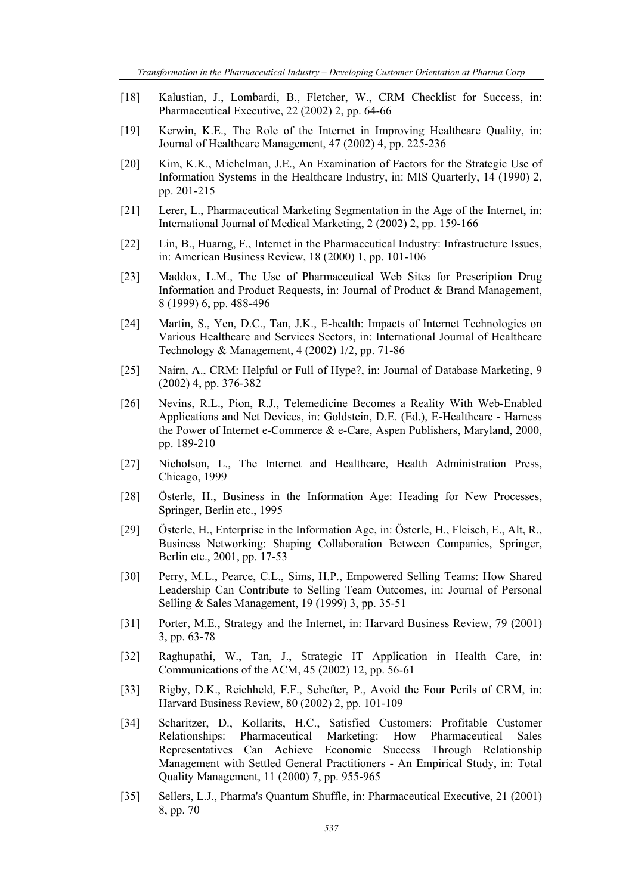- [18] Kalustian, J., Lombardi, B., Fletcher, W., CRM Checklist for Success, in: Pharmaceutical Executive, 22 (2002) 2, pp. 64-66
- [19] Kerwin, K.E., The Role of the Internet in Improving Healthcare Quality, in: Journal of Healthcare Management, 47 (2002) 4, pp. 225-236
- [20] Kim, K.K., Michelman, J.E., An Examination of Factors for the Strategic Use of Information Systems in the Healthcare Industry, in: MIS Quarterly, 14 (1990) 2, pp. 201-215
- [21] Lerer, L., Pharmaceutical Marketing Segmentation in the Age of the Internet, in: International Journal of Medical Marketing, 2 (2002) 2, pp. 159-166
- [22] Lin, B., Huarng, F., Internet in the Pharmaceutical Industry: Infrastructure Issues, in: American Business Review, 18 (2000) 1, pp. 101-106
- [23] Maddox, L.M., The Use of Pharmaceutical Web Sites for Prescription Drug Information and Product Requests, in: Journal of Product & Brand Management, 8 (1999) 6, pp. 488-496
- [24] Martin, S., Yen, D.C., Tan, J.K., E-health: Impacts of Internet Technologies on Various Healthcare and Services Sectors, in: International Journal of Healthcare Technology & Management, 4 (2002) 1/2, pp. 71-86
- [25] Nairn, A., CRM: Helpful or Full of Hype?, in: Journal of Database Marketing, 9 (2002) 4, pp. 376-382
- [26] Nevins, R.L., Pion, R.J., Telemedicine Becomes a Reality With Web-Enabled Applications and Net Devices, in: Goldstein, D.E. (Ed.), E-Healthcare - Harness the Power of Internet e-Commerce & e-Care, Aspen Publishers, Maryland, 2000, pp. 189-210
- [27] Nicholson, L., The Internet and Healthcare, Health Administration Press, Chicago, 1999
- [28] Österle, H., Business in the Information Age: Heading for New Processes, Springer, Berlin etc., 1995
- [29] Österle, H., Enterprise in the Information Age, in: Österle, H., Fleisch, E., Alt, R., Business Networking: Shaping Collaboration Between Companies, Springer, Berlin etc., 2001, pp. 17-53
- [30] Perry, M.L., Pearce, C.L., Sims, H.P., Empowered Selling Teams: How Shared Leadership Can Contribute to Selling Team Outcomes, in: Journal of Personal Selling & Sales Management, 19 (1999) 3, pp. 35-51
- [31] Porter, M.E., Strategy and the Internet, in: Harvard Business Review, 79 (2001) 3, pp. 63-78
- [32] Raghupathi, W., Tan, J., Strategic IT Application in Health Care, in: Communications of the ACM, 45 (2002) 12, pp. 56-61
- [33] Rigby, D.K., Reichheld, F.F., Schefter, P., Avoid the Four Perils of CRM, in: Harvard Business Review, 80 (2002) 2, pp. 101-109
- [34] Scharitzer, D., Kollarits, H.C., Satisfied Customers: Profitable Customer Relationships: Pharmaceutical Marketing: How Pharmaceutical Sales Representatives Can Achieve Economic Success Through Relationship Management with Settled General Practitioners - An Empirical Study, in: Total Quality Management, 11 (2000) 7, pp. 955-965
- [35] Sellers, L.J., Pharma's Quantum Shuffle, in: Pharmaceutical Executive, 21 (2001) 8, pp. 70